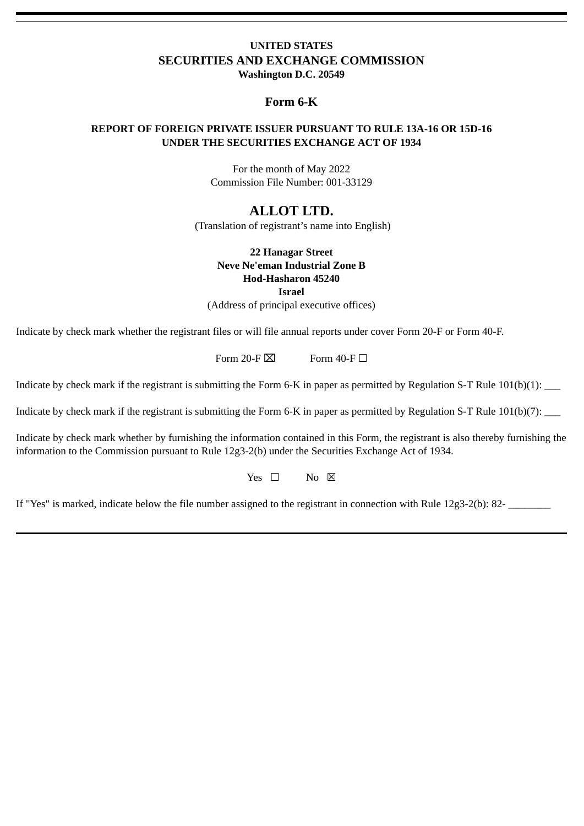### **UNITED STATES SECURITIES AND EXCHANGE COMMISSION Washington D.C. 20549**

### **Form 6-K**

### **REPORT OF FOREIGN PRIVATE ISSUER PURSUANT TO RULE 13A-16 OR 15D-16 UNDER THE SECURITIES EXCHANGE ACT OF 1934**

For the month of May 2022 Commission File Number: 001-33129

## **ALLOT LTD.**

(Translation of registrant's name into English)

#### **22 Hanagar Street Neve Ne'eman Industrial Zone B Hod-Hasharon 45240 Israel**

(Address of principal executive offices)

Indicate by check mark whether the registrant files or will file annual reports under cover Form 20-F or Form 40-F.

Form 20-F  $\times$  Form 40-F  $\Box$ 

Indicate by check mark if the registrant is submitting the Form 6-K in paper as permitted by Regulation S-T Rule  $101(b)(1)$ :

Indicate by check mark if the registrant is submitting the Form 6-K in paper as permitted by Regulation S-T Rule 101(b)(7): \_\_\_\_

Indicate by check mark whether by furnishing the information contained in this Form, the registrant is also thereby furnishing the information to the Commission pursuant to Rule 12g3-2(b) under the Securities Exchange Act of 1934.

Yes  $\Box$  No  $\boxtimes$ 

If "Yes" is marked, indicate below the file number assigned to the registrant in connection with Rule 12g3-2(b): 82-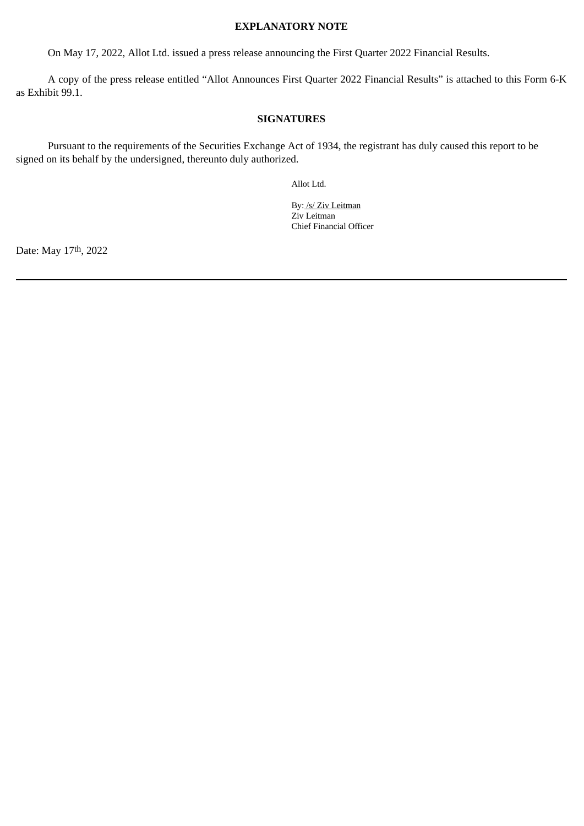#### **EXPLANATORY NOTE**

On May 17, 2022, Allot Ltd. issued a press release announcing the First Quarter 2022 Financial Results.

A copy of the press release entitled "Allot Announces First Quarter 2022 Financial Results" is attached to this Form 6-K as Exhibit 99.1.

#### **SIGNATURES**

Pursuant to the requirements of the Securities Exchange Act of 1934, the registrant has duly caused this report to be signed on its behalf by the undersigned, thereunto duly authorized.

Allot Ltd.

By: /s/ Ziv Leitman Ziv Leitman Chief Financial Officer

Date: May 17th, 2022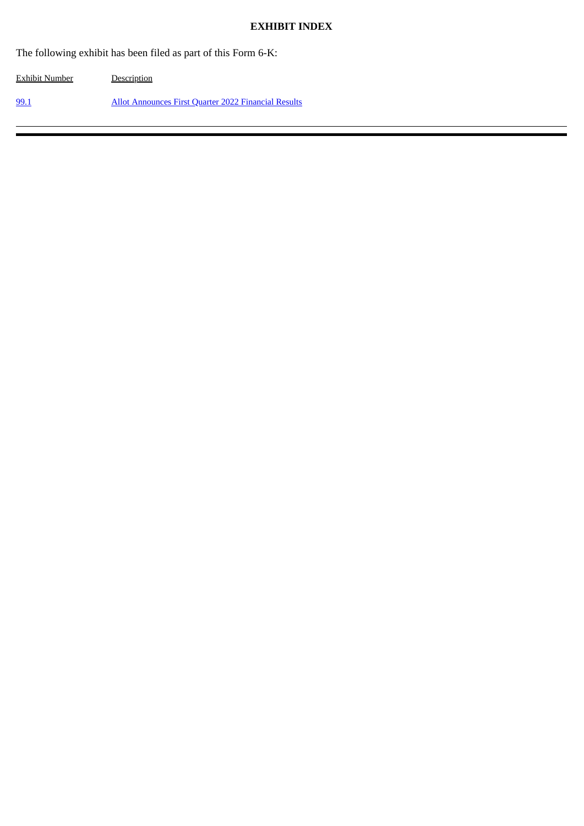#### **EXHIBIT INDEX**

The following exhibit has been filed as part of this Form 6-K:

Exhibit Number Description [99.1](#page-3-0) Allot [Announces](#page-3-0) First Quarter 2022 Financial Results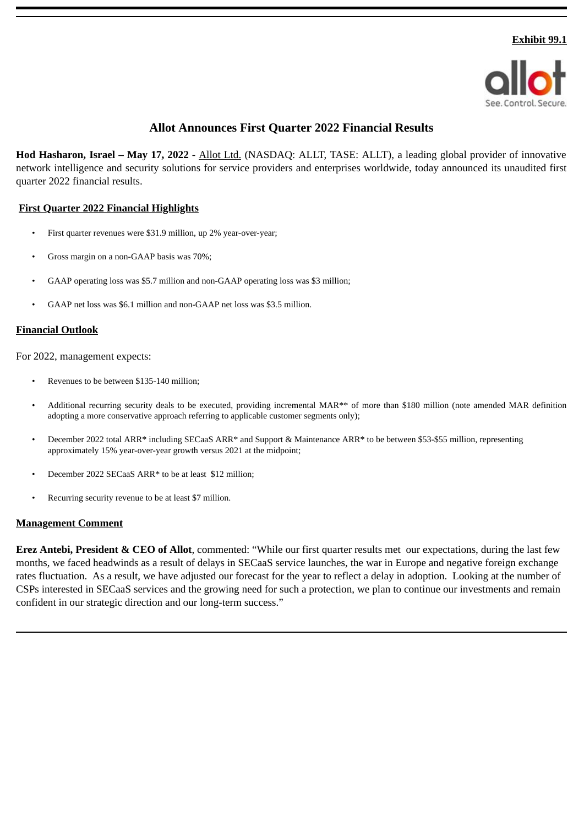

## **Allot Announces First Quarter 2022 Financial Results**

<span id="page-3-0"></span>**Hod Hasharon, Israel – May 17, 2022** - Allot Ltd. (NASDAQ: ALLT, TASE: ALLT), a leading global provider of innovative network intelligence and security solutions for service providers and enterprises worldwide, today announced its unaudited first quarter 2022 financial results.

### **First Quarter 2022 Financial Highlights**

- First quarter revenues were \$31.9 million, up 2% year-over-year;
- Gross margin on a non-GAAP basis was 70%;
- GAAP operating loss was \$5.7 million and non-GAAP operating loss was \$3 million;
- GAAP net loss was \$6.1 million and non-GAAP net loss was \$3.5 million.

#### **Financial Outlook**

For 2022, management expects:

- Revenues to be between \$135-140 million;
- Additional recurring security deals to be executed, providing incremental MAR\*\* of more than \$180 million (note amended MAR definition adopting a more conservative approach referring to applicable customer segments only);
- December 2022 total ARR\* including SECaaS ARR\* and Support & Maintenance ARR\* to be between \$53-\$55 million, representing approximately 15% year-over-year growth versus 2021 at the midpoint;
- December 2022 SECaaS ARR\* to be at least \$12 million;
- Recurring security revenue to be at least \$7 million.

#### **Management Comment**

**Erez Antebi, President & CEO of Allot**, commented: "While our first quarter results met our expectations, during the last few months, we faced headwinds as a result of delays in SECaaS service launches, the war in Europe and negative foreign exchange rates fluctuation. As a result, we have adjusted our forecast for the year to reflect a delay in adoption. Looking at the number of CSPs interested in SECaaS services and the growing need for such a protection, we plan to continue our investments and remain confident in our strategic direction and our long-term success."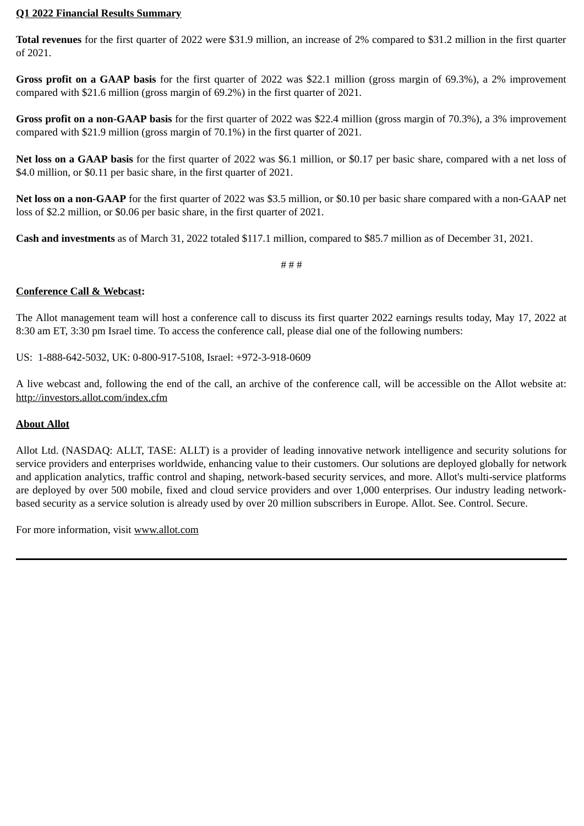#### **Q1 2022 Financial Results Summary**

**Total revenues** for the first quarter of 2022 were \$31.9 million, an increase of 2% compared to \$31.2 million in the first quarter of 2021.

**Gross profit on a GAAP basis** for the first quarter of 2022 was \$22.1 million (gross margin of 69.3%), a 2% improvement compared with \$21.6 million (gross margin of 69.2%) in the first quarter of 2021.

**Gross profit on a non-GAAP basis** for the first quarter of 2022 was \$22.4 million (gross margin of 70.3%), a 3% improvement compared with \$21.9 million (gross margin of 70.1%) in the first quarter of 2021.

**Net loss on a GAAP basis** for the first quarter of 2022 was \$6.1 million, or \$0.17 per basic share, compared with a net loss of \$4.0 million, or \$0.11 per basic share, in the first quarter of 2021.

**Net loss on a non-GAAP** for the first quarter of 2022 was \$3.5 million, or \$0.10 per basic share compared with a non-GAAP net loss of \$2.2 million, or \$0.06 per basic share, in the first quarter of 2021.

**Cash and investments** as of March 31, 2022 totaled \$117.1 million, compared to \$85.7 million as of December 31, 2021.

# # #

## **Conference Call & Webcast:**

The Allot management team will host a conference call to discuss its first quarter 2022 earnings results today, May 17, 2022 at 8:30 am ET, 3:30 pm Israel time. To access the conference call, please dial one of the following numbers:

US: 1-888-642-5032, UK: 0-800-917-5108, Israel: +972-3-918-0609

A live webcast and, following the end of the call, an archive of the conference call, will be accessible on the Allot website at: http://investors.allot.com/index.cfm

## **About Allot**

Allot Ltd. (NASDAQ: ALLT, TASE: ALLT) is a provider of leading innovative network intelligence and security solutions for service providers and enterprises worldwide, enhancing value to their customers. Our solutions are deployed globally for network and application analytics, traffic control and shaping, network-based security services, and more. Allot's multi-service platforms are deployed by over 500 mobile, fixed and cloud service providers and over 1,000 enterprises. Our industry leading networkbased security as a service solution is already used by over 20 million subscribers in Europe. Allot. See. Control. Secure.

For more information, visit www.allot.com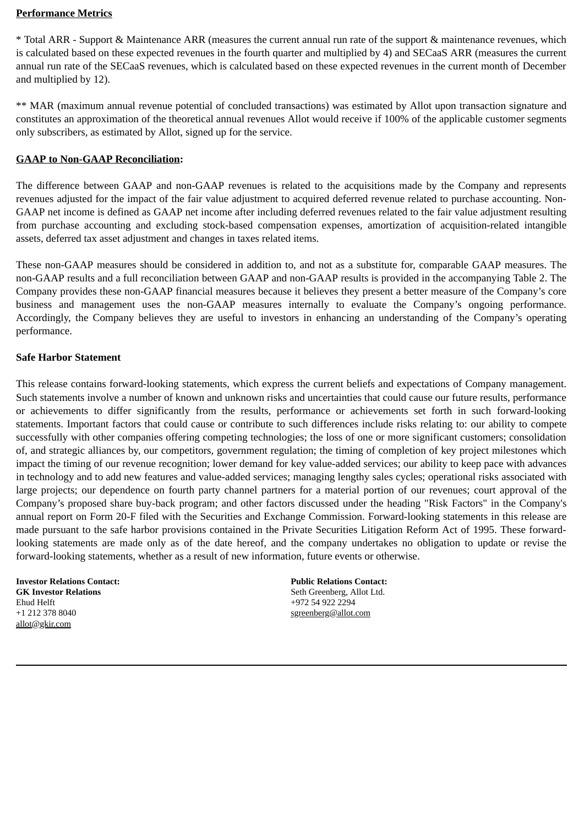#### **Performance Metrics**

\* Total ARR - Support & Maintenance ARR (measures the current annual run rate of the support & maintenance revenues, which is calculated based on these expected revenues in the fourth quarter and multiplied by 4) and SECaaS ARR (measures the current annual run rate of the SECaaS revenues, which is calculated based on these expected revenues in the current month of December and multiplied by 12).

\*\* MAR (maximum annual revenue potential of concluded transactions) was estimated by Allot upon transaction signature and constitutes an approximation of the theoretical annual revenues Allot would receive if 100% of the applicable customer segments only subscribers, as estimated by Allot, signed up for the service.

### **GAAP to Non-GAAP Reconciliation:**

The difference between GAAP and non-GAAP revenues is related to the acquisitions made by the Company and represents revenues adjusted for the impact of the fair value adjustment to acquired deferred revenue related to purchase accounting. Non-GAAP net income is defined as GAAP net income after including deferred revenues related to the fair value adjustment resulting from purchase accounting and excluding stock-based compensation expenses, amortization of acquisition-related intangible assets, deferred tax asset adjustment and changes in taxes related items.

These non-GAAP measures should be considered in addition to, and not as a substitute for, comparable GAAP measures. The non-GAAP results and a full reconciliation between GAAP and non-GAAP results is provided in the accompanying Table 2. The Company provides these non-GAAP financial measures because it believes they present a better measure of the Company's core business and management uses the non-GAAP measures internally to evaluate the Company's ongoing performance. Accordingly, the Company believes they are useful to investors in enhancing an understanding of the Company's operating performance.

### **Safe Harbor Statement**

This release contains forward-looking statements, which express the current beliefs and expectations of Company management. Such statements involve a number of known and unknown risks and uncertainties that could cause our future results, performance or achievements to differ significantly from the results, performance or achievements set forth in such forward-looking statements. Important factors that could cause or contribute to such differences include risks relating to: our ability to compete successfully with other companies offering competing technologies; the loss of one or more significant customers; consolidation of, and strategic alliances by, our competitors, government regulation; the timing of completion of key project milestones which impact the timing of our revenue recognition; lower demand for key value-added services; our ability to keep pace with advances in technology and to add new features and value-added services; managing lengthy sales cycles; operational risks associated with large projects; our dependence on fourth party channel partners for a material portion of our revenues; court approval of the Company's proposed share buy-back program; and other factors discussed under the heading "Risk Factors" in the Company's annual report on Form 20-F filed with the Securities and Exchange Commission. Forward-looking statements in this release are made pursuant to the safe harbor provisions contained in the Private Securities Litigation Reform Act of 1995. These forwardlooking statements are made only as of the date hereof, and the company undertakes no obligation to update or revise the forward-looking statements, whether as a result of new information, future events or otherwise.

**Investor Relations Contact: GK Investor Relations** Ehud Helft +1 212 378 8040 allot@gkir.com

**Public Relations Contact:** Seth Greenberg, Allot Ltd. +972 54 922 2294 sgreenberg@allot.com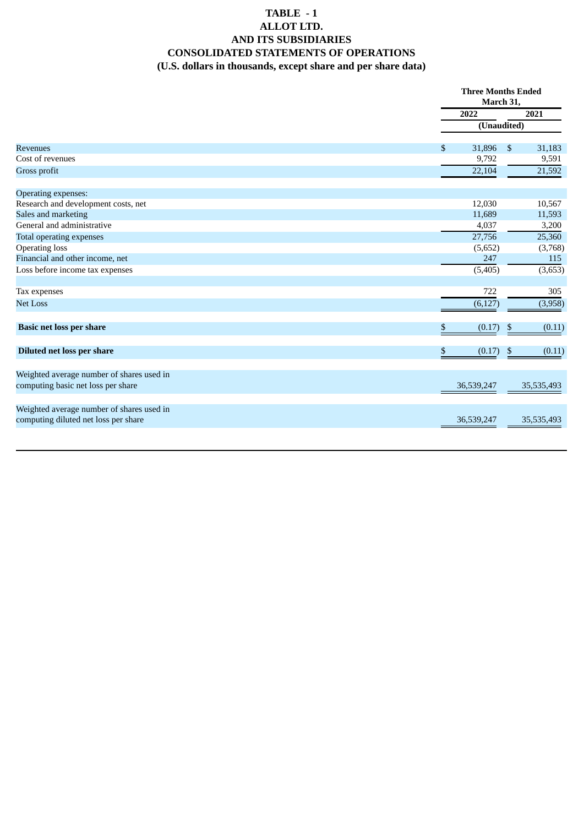## **TABLE - 1 ALLOT LTD. AND ITS SUBSIDIARIES CONSOLIDATED STATEMENTS OF OPERATIONS (U.S. dollars in thousands, except share and per share data)**

|                                                                                   |              | <b>Three Months Ended</b><br>March 31, |  |
|-----------------------------------------------------------------------------------|--------------|----------------------------------------|--|
|                                                                                   | 2022         | 2021                                   |  |
|                                                                                   |              | (Unaudited)                            |  |
| <b>Revenues</b>                                                                   | \$<br>31,896 | $\boldsymbol{\mathsf{S}}$<br>31,183    |  |
| Cost of revenues                                                                  | 9,792        | 9,591                                  |  |
| Gross profit                                                                      | 22,104       | 21,592                                 |  |
| Operating expenses:                                                               |              |                                        |  |
| Research and development costs, net                                               | 12,030       | 10,567                                 |  |
| Sales and marketing                                                               | 11,689       | 11,593                                 |  |
| General and administrative                                                        | 4,037        | 3,200                                  |  |
| Total operating expenses                                                          | 27,756       | 25,360                                 |  |
| <b>Operating loss</b>                                                             | (5,652)      | (3,768)                                |  |
| Financial and other income, net                                                   | 247          | 115                                    |  |
| Loss before income tax expenses                                                   | (5, 405)     | (3,653)                                |  |
| Tax expenses                                                                      | 722          | 305                                    |  |
| <b>Net Loss</b>                                                                   | (6, 127)     | (3,958)                                |  |
| <b>Basic net loss per share</b>                                                   | (0.17)<br>\$ | (0.11)<br>$\boldsymbol{\mathsf{S}}$    |  |
| <b>Diluted net loss per share</b>                                                 | \$<br>(0.17) | \$<br>(0.11)                           |  |
| Weighted average number of shares used in<br>computing basic net loss per share   | 36,539,247   | 35,535,493                             |  |
|                                                                                   |              |                                        |  |
| Weighted average number of shares used in<br>computing diluted net loss per share | 36,539,247   | 35,535,493                             |  |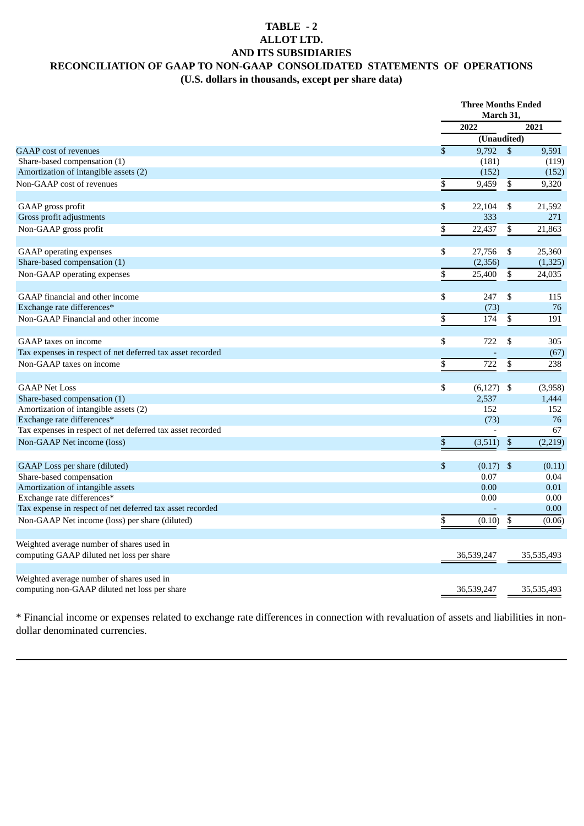### **TABLE - 2 ALLOT LTD. AND ITS SUBSIDIARIES RECONCILIATION OF GAAP TO NON-GAAP CONSOLIDATED STATEMENTS OF OPERATIONS (U.S. dollars in thousands, except per share data)**

|                                                            |                           | <b>Three Months Ended</b><br>March 31, |            |
|------------------------------------------------------------|---------------------------|----------------------------------------|------------|
|                                                            | 2022                      |                                        | 2021       |
|                                                            |                           | (Unaudited)                            |            |
| <b>GAAP</b> cost of revenues                               | \$                        | $9,792$ \$                             | 9,591      |
| Share-based compensation (1)                               | (181)                     |                                        | (119)      |
| Amortization of intangible assets (2)                      | (152)                     |                                        | (152)      |
| Non-GAAP cost of revenues                                  | \$<br>9,459               | \$                                     | 9,320      |
| GAAP gross profit                                          | \$<br>22,104              | \$                                     | 21,592     |
| Gross profit adjustments                                   | 333                       |                                        | 271        |
| Non-GAAP gross profit                                      | $\overline{\$}$<br>22,437 | $\overline{\$}$                        | 21,863     |
| <b>GAAP</b> operating expenses                             | \$<br>27,756              | \$                                     | 25,360     |
| Share-based compensation (1)                               | (2, 356)                  |                                        | (1, 325)   |
| Non-GAAP operating expenses                                | \$<br>25,400              | \$                                     | 24,035     |
| GAAP financial and other income                            | \$<br>247                 | \$                                     | 115        |
| Exchange rate differences*                                 |                           | (73)                                   | 76         |
| Non-GAAP Financial and other income                        | \$<br>174                 | \$                                     | 191        |
| GAAP taxes on income                                       | \$<br>722                 | \$                                     | 305        |
| Tax expenses in respect of net deferred tax asset recorded |                           |                                        | (67)       |
| Non-GAAP taxes on income                                   | \$<br>722                 | \$                                     | 238        |
|                                                            |                           |                                        |            |
| <b>GAAP Net Loss</b>                                       | \$<br>(6, 127)            | - \$                                   | (3,958)    |
| Share-based compensation (1)                               | 2,537                     |                                        | 1,444      |
| Amortization of intangible assets (2)                      | 152                       |                                        | 152        |
| Exchange rate differences*                                 |                           | (73)                                   | 76         |
| Tax expenses in respect of net deferred tax asset recorded |                           |                                        | 67         |
| Non-GAAP Net income (loss)                                 | (3,511)<br>\$             | $\$$                                   | (2,219)    |
| GAAP Loss per share (diluted)                              | \$                        | $(0.17)$ \$                            | (0.11)     |
| Share-based compensation                                   | 0.07                      |                                        | 0.04       |
| Amortization of intangible assets                          | 0.00                      |                                        | 0.01       |
| Exchange rate differences*                                 | 0.00                      |                                        | 0.00       |
| Tax expense in respect of net deferred tax asset recorded  |                           |                                        | 0.00       |
| Non-GAAP Net income (loss) per share (diluted)             | \$<br>(0.10)              | \$                                     | (0.06)     |
| Weighted average number of shares used in                  |                           |                                        |            |
| computing GAAP diluted net loss per share                  | 36,539,247                |                                        | 35,535,493 |
| Weighted average number of shares used in                  |                           |                                        |            |
| computing non-GAAP diluted net loss per share              | 36,539,247                |                                        | 35,535,493 |

\* Financial income or expenses related to exchange rate differences in connection with revaluation of assets and liabilities in nondollar denominated currencies.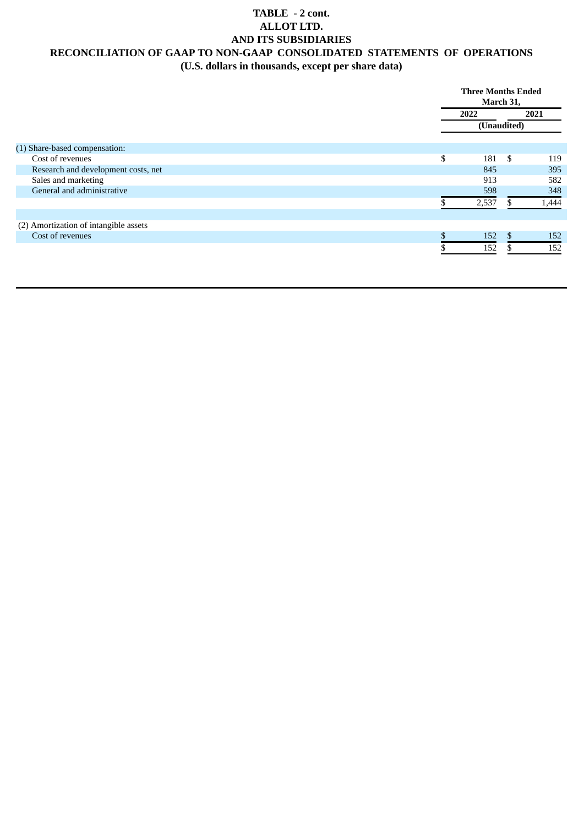### **TABLE - 2 cont. ALLOT LTD. AND ITS SUBSIDIARIES RECONCILIATION OF GAAP TO NON-GAAP CONSOLIDATED STATEMENTS OF OPERATIONS (U.S. dollars in thousands, except per share data)**

|                                       | <b>Three Months Ended</b><br>March 31, |                |       |
|---------------------------------------|----------------------------------------|----------------|-------|
|                                       | 2022                                   |                | 2021  |
|                                       |                                        | (Unaudited)    |       |
| (1) Share-based compensation:         |                                        |                |       |
| Cost of revenues                      | \$<br>181                              | \$             | 119   |
| Research and development costs, net   | 845                                    |                | 395   |
| Sales and marketing                   | 913                                    |                | 582   |
| General and administrative            | 598                                    |                | 348   |
|                                       | 2,537                                  | ж              | 1,444 |
| (2) Amortization of intangible assets |                                        |                |       |
| Cost of revenues                      | \$<br>152                              | $\mathfrak{L}$ | 152   |
|                                       | 152                                    |                | 152   |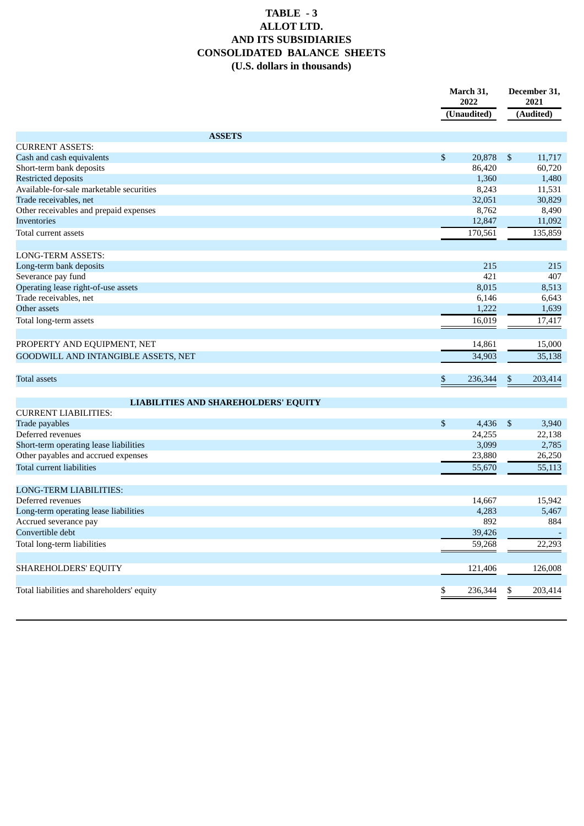## **TABLE - 3 ALLOT LTD. AND ITS SUBSIDIARIES CONSOLIDATED BALANCE SHEETS (U.S. dollars in thousands)**

|                                             | March 31,<br>2022 | 2021                     | December 31, |  |
|---------------------------------------------|-------------------|--------------------------|--------------|--|
|                                             | (Unaudited)       | (Audited)                |              |  |
| <b>ASSETS</b>                               |                   |                          |              |  |
| <b>CURRENT ASSETS:</b>                      |                   |                          |              |  |
| Cash and cash equivalents                   | \$<br>20,878      | $\mathfrak{S}$<br>11,717 |              |  |
| Short-term bank deposits                    | 86,420            | 60,720                   |              |  |
| <b>Restricted deposits</b>                  | 1,360             | 1,480                    |              |  |
| Available-for-sale marketable securities    | 8,243             | 11,531                   |              |  |
| Trade receivables, net                      | 32,051            | 30,829                   |              |  |
| Other receivables and prepaid expenses      | 8,762             | 8,490                    |              |  |
| <b>Inventories</b>                          | 12,847            | 11,092                   |              |  |
| Total current assets                        | 170,561           | 135,859                  |              |  |
| <b>LONG-TERM ASSETS:</b>                    |                   |                          |              |  |
| Long-term bank deposits                     | 215               |                          | 215          |  |
| Severance pay fund                          | 421               |                          | 407          |  |
| Operating lease right-of-use assets         | 8,015             | 8,513                    |              |  |
| Trade receivables, net                      | 6,146             | 6,643                    |              |  |
| Other assets                                | 1,222             | 1,639                    |              |  |
| Total long-term assets                      | 16,019            | 17,417                   |              |  |
|                                             |                   |                          |              |  |
| PROPERTY AND EQUIPMENT, NET                 | 14,861            | 15,000                   |              |  |
| GOODWILL AND INTANGIBLE ASSETS, NET         | 34,903            | 35,138                   |              |  |
| Total assets                                | 236,344<br>\$     | 203,414<br>\$            |              |  |
|                                             |                   |                          |              |  |
| <b>LIABILITIES AND SHAREHOLDERS' EQUITY</b> |                   |                          |              |  |
| <b>CURRENT LIABILITIES:</b>                 |                   |                          |              |  |
| <b>Trade payables</b>                       | \$<br>4,436       | \$<br>3,940              |              |  |
| Deferred revenues                           | 24,255            | 22,138                   |              |  |
| Short-term operating lease liabilities      | 3,099             | 2,785                    |              |  |
| Other payables and accrued expenses         | 23,880            | 26,250                   |              |  |
| <b>Total current liabilities</b>            | 55,670            | 55,113                   |              |  |
| LONG-TERM LIABILITIES:                      |                   |                          |              |  |
| Deferred revenues                           | 14,667            | 15,942                   |              |  |
| Long-term operating lease liabilities       | 4,283             | 5,467                    |              |  |
| Accrued severance pay                       | 892               |                          | 884          |  |
| Convertible debt                            | 39,426            |                          |              |  |
| Total long-term liabilities                 | 59,268            | 22,293                   |              |  |
|                                             |                   |                          |              |  |
| SHAREHOLDERS' EQUITY                        | 121,406           | 126,008                  |              |  |
| Total liabilities and shareholders' equity  | 236,344<br>\$     | 203,414<br>\$            |              |  |
|                                             |                   |                          |              |  |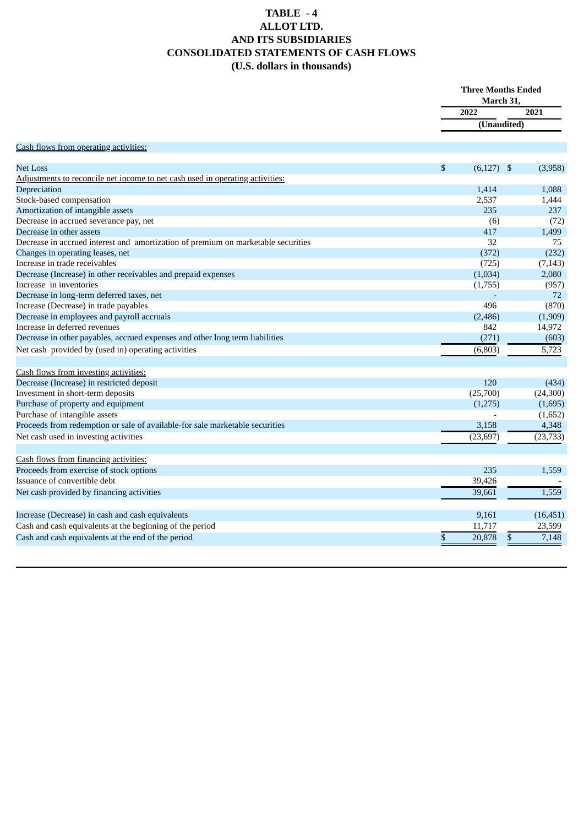## **TABLE - 4 ALLOT LTD. AND ITS SUBSIDIARIES CONSOLIDATED STATEMENTS OF CASH FLOWS (U.S. dollars in thousands)**

|                                                                                   |                    | <b>Three Months Ended</b><br>March 31, |  |
|-----------------------------------------------------------------------------------|--------------------|----------------------------------------|--|
|                                                                                   | 2022               | 2021                                   |  |
|                                                                                   |                    | (Unaudited)                            |  |
| Cash flows from operating activities:                                             |                    |                                        |  |
|                                                                                   |                    |                                        |  |
| <b>Net Loss</b>                                                                   | \$<br>$(6,127)$ \$ | (3,958)                                |  |
| Adjustments to reconcile net income to net cash used in operating activities:     |                    |                                        |  |
| Depreciation                                                                      | 1,414              | 1,088                                  |  |
| Stock-based compensation                                                          | 2,537              | 1,444                                  |  |
| Amortization of intangible assets                                                 | 235                | 237                                    |  |
| Decrease in accrued severance pay, net                                            | (6)                | (72)                                   |  |
| Decrease in other assets                                                          | 417                | 1,499                                  |  |
| Decrease in accrued interest and amortization of premium on marketable securities | 32                 | 75                                     |  |
| Changes in operating leases, net                                                  | (372)              | (232)                                  |  |
| Increase in trade receivables                                                     | (725)              | (7, 143)                               |  |
| Decrease (Increase) in other receivables and prepaid expenses                     | (1,034)            | 2,080                                  |  |
| Increase in inventories                                                           | (1,755)            | (957)                                  |  |
| Decrease in long-term deferred taxes, net                                         |                    | 72                                     |  |
| Increase (Decrease) in trade payables                                             | 496                | (870)                                  |  |
| Decrease in employees and payroll accruals                                        | (2,486)            | (1,909)                                |  |
| Increase in deferred revenues                                                     | 842                | 14,972                                 |  |
| Decrease in other payables, accrued expenses and other long term liabilities      | (271)              | (603)                                  |  |
| Net cash provided by (used in) operating activities                               | (6, 803)           | 5,723                                  |  |
| Cash flows from investing activities:                                             |                    |                                        |  |
| Decrease (Increase) in restricted deposit                                         | 120                | (434)                                  |  |
| Investment in short-term deposits                                                 | (25,700)           | (24, 300)                              |  |
| Purchase of property and equipment                                                | (1,275)            | (1,695)                                |  |
| Purchase of intangible assets                                                     |                    | (1,652)                                |  |
| Proceeds from redemption or sale of available-for sale marketable securities      | 3,158              | 4,348                                  |  |
| Net cash used in investing activities                                             | (23, 697)          | (23, 733)                              |  |
| Cash flows from financing activities:                                             |                    |                                        |  |
| Proceeds from exercise of stock options                                           | 235                | 1,559                                  |  |
| Issuance of convertible debt                                                      | 39,426             |                                        |  |
| Net cash provided by financing activities                                         | 39,661             | 1,559                                  |  |
| Increase (Decrease) in cash and cash equivalents                                  | 9,161              | (16, 451)                              |  |
| Cash and cash equivalents at the beginning of the period                          | 11,717             | 23,599                                 |  |
| Cash and cash equivalents at the end of the period                                | \$<br>20,878       | \$<br>7,148                            |  |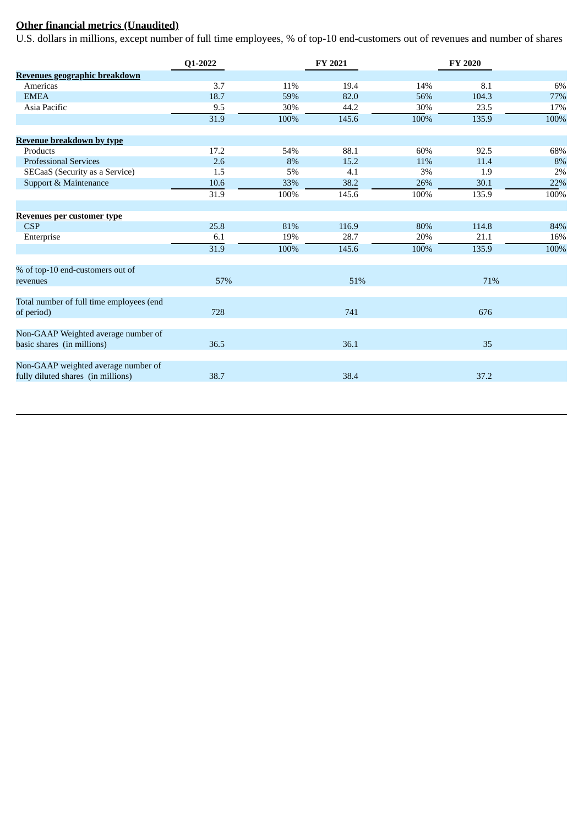# **Other financial metrics (Unaudited)**

U.S. dollars in millions, except number of full time employees, % of top-10 end-customers out of revenues and number of shares

|                                                                           | Q1-2022 |      | FY 2021 |      | <b>FY 2020</b> |      |
|---------------------------------------------------------------------------|---------|------|---------|------|----------------|------|
| Revenues geographic breakdown                                             |         |      |         |      |                |      |
| Americas                                                                  | 3.7     | 11%  | 19.4    | 14%  | 8.1            | 6%   |
| <b>EMEA</b>                                                               | 18.7    | 59%  | 82.0    | 56%  | 104.3          | 77%  |
| Asia Pacific                                                              | 9.5     | 30%  | 44.2    | 30%  | 23.5           | 17%  |
|                                                                           | 31.9    | 100% | 145.6   | 100% | 135.9          | 100% |
| <b>Revenue breakdown by type</b>                                          |         |      |         |      |                |      |
| Products                                                                  | 17.2    | 54%  | 88.1    | 60%  | 92.5           | 68%  |
| <b>Professional Services</b>                                              | 2.6     | 8%   | 15.2    | 11%  | 11.4           | 8%   |
| SECaaS (Security as a Service)                                            | 1.5     | 5%   | 4.1     | 3%   | 1.9            | 2%   |
| Support & Maintenance                                                     | 10.6    | 33%  | 38.2    | 26%  | 30.1           | 22%  |
|                                                                           | 31.9    | 100% | 145.6   | 100% | 135.9          | 100% |
| Revenues per customer type                                                |         |      |         |      |                |      |
| <b>CSP</b>                                                                | 25.8    | 81%  | 116.9   | 80%  | 114.8          | 84%  |
| Enterprise                                                                | 6.1     | 19%  | 28.7    | 20%  | 21.1           | 16%  |
|                                                                           | 31.9    | 100% | 145.6   | 100% | 135.9          | 100% |
| % of top-10 end-customers out of                                          |         |      |         |      |                |      |
| revenues                                                                  | 57%     |      | 51%     |      | 71%            |      |
| Total number of full time employees (end<br>of period)                    | 728     |      | 741     |      | 676            |      |
| Non-GAAP Weighted average number of<br>basic shares (in millions)         | 36.5    |      | 36.1    |      | 35             |      |
| Non-GAAP weighted average number of<br>fully diluted shares (in millions) | 38.7    |      | 38.4    |      | 37.2           |      |